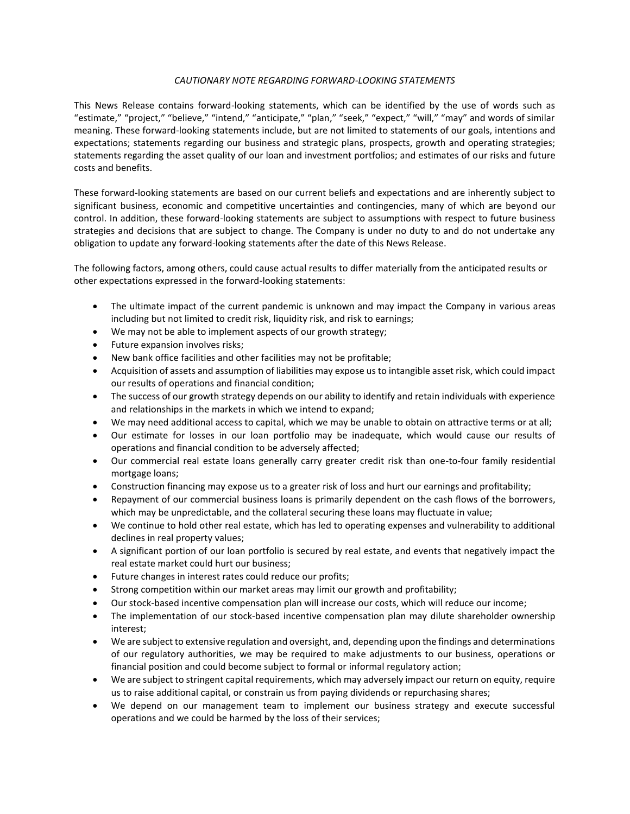## *CAUTIONARY NOTE REGARDING FORWARD-LOOKING STATEMENTS*

This News Release contains forward-looking statements, which can be identified by the use of words such as "estimate," "project," "believe," "intend," "anticipate," "plan," "seek," "expect," "will," "may" and words of similar meaning. These forward-looking statements include, but are not limited to statements of our goals, intentions and expectations; statements regarding our business and strategic plans, prospects, growth and operating strategies; statements regarding the asset quality of our loan and investment portfolios; and estimates of our risks and future costs and benefits.

These forward-looking statements are based on our current beliefs and expectations and are inherently subject to significant business, economic and competitive uncertainties and contingencies, many of which are beyond our control. In addition, these forward-looking statements are subject to assumptions with respect to future business strategies and decisions that are subject to change. The Company is under no duty to and do not undertake any obligation to update any forward-looking statements after the date of this News Release.

The following factors, among others, could cause actual results to differ materially from the anticipated results or other expectations expressed in the forward-looking statements:

- The ultimate impact of the current pandemic is unknown and may impact the Company in various areas including but not limited to credit risk, liquidity risk, and risk to earnings;
- We may not be able to implement aspects of our growth strategy;
- Future expansion involves risks;
- New bank office facilities and other facilities may not be profitable;
- Acquisition of assets and assumption of liabilities may expose us to intangible asset risk, which could impact our results of operations and financial condition;
- The success of our growth strategy depends on our ability to identify and retain individuals with experience and relationships in the markets in which we intend to expand;
- We may need additional access to capital, which we may be unable to obtain on attractive terms or at all;
- Our estimate for losses in our loan portfolio may be inadequate, which would cause our results of operations and financial condition to be adversely affected;
- Our commercial real estate loans generally carry greater credit risk than one-to-four family residential mortgage loans;
- Construction financing may expose us to a greater risk of loss and hurt our earnings and profitability;
- Repayment of our commercial business loans is primarily dependent on the cash flows of the borrowers, which may be unpredictable, and the collateral securing these loans may fluctuate in value;
- We continue to hold other real estate, which has led to operating expenses and vulnerability to additional declines in real property values;
- A significant portion of our loan portfolio is secured by real estate, and events that negatively impact the real estate market could hurt our business;
- Future changes in interest rates could reduce our profits;
- Strong competition within our market areas may limit our growth and profitability;
- Our stock-based incentive compensation plan will increase our costs, which will reduce our income;
- The implementation of our stock-based incentive compensation plan may dilute shareholder ownership interest;
- We are subject to extensive regulation and oversight, and, depending upon the findings and determinations of our regulatory authorities, we may be required to make adjustments to our business, operations or financial position and could become subject to formal or informal regulatory action;
- We are subject to stringent capital requirements, which may adversely impact our return on equity, require us to raise additional capital, or constrain us from paying dividends or repurchasing shares;
- We depend on our management team to implement our business strategy and execute successful operations and we could be harmed by the loss of their services;